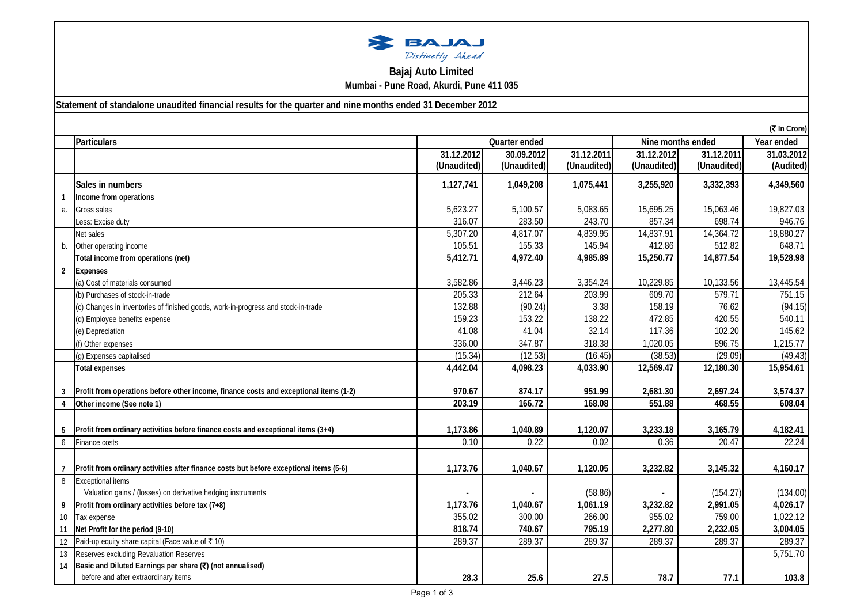

## **Bajaj Auto Limited Mumbai - Pune Road, Akurdi, Pune 411 035**

**Statement of standalone unaudited financial results for the quarter and nine months ended 31 December 2012**

| (₹ In Crore)   |                                                                                        |                                    |             |             |             |                   |            |
|----------------|----------------------------------------------------------------------------------------|------------------------------------|-------------|-------------|-------------|-------------------|------------|
|                | Particulars                                                                            | Quarter ended<br>Nine months ended |             |             |             | Year ended        |            |
|                |                                                                                        | 31.12.2012                         | 30.09.2012  | 31.12.2011  | 31.12.2012  | 31.12.2011        | 31.03.2012 |
|                |                                                                                        | (Unaudited)                        | (Unaudited) | (Unaudited) | (Unaudited) | (Unaudited)       | (Audited)  |
|                | Sales in numbers                                                                       | 1,127,741                          | 1,049,208   | 1,075,441   | 3,255,920   | 3,332,393         | 4,349,560  |
|                | Income from operations                                                                 |                                    |             |             |             |                   |            |
| a.             | Gross sales                                                                            | 5,623.27                           | 5,100.57    | 5,083.65    | 15,695.25   | 15,063.46         | 19,827.03  |
|                | Less: Excise duty                                                                      | 316.07                             | 283.50      | 243.70      | 857.34      | 698.74            | 946.76     |
|                | Net sales                                                                              | 5,307.20                           | 4,817.07    | 4,839.95    | 14,837.91   | 14,364.72         | 18,880.27  |
| b.             | Other operating income                                                                 | 105.51                             | 155.33      | 145.94      | 412.86      | 512.82            | 648.71     |
|                | Total income from operations (net)                                                     | 5,412.71                           | 4,972.40    | 4,985.89    | 15,250.77   | 14,877.54         | 19,528.98  |
| $\overline{2}$ | <b>Expenses</b>                                                                        |                                    |             |             |             |                   |            |
|                | (a) Cost of materials consumed                                                         | 3,582.86                           | 3,446.23    | 3,354.24    | 10,229.85   | 10,133.56         | 13,445.54  |
|                | (b) Purchases of stock-in-trade                                                        | 205.33                             | 212.64      | 203.99      | 609.70      | 579.71            | 751.15     |
|                | (c) Changes in inventories of finished goods, work-in-progress and stock-in-trade      | 132.88                             | (90.24)     | 3.38        | 158.19      | 76.62             | (94.15)    |
|                | (d) Employee benefits expense                                                          | 159.23                             | 153.22      | 138.22      | 472.85      | 420.55            | 540.11     |
|                | (e) Depreciation                                                                       | 41.08                              | 41.04       | 32.14       | 117.36      | 102.20            | 145.62     |
|                | (f) Other expenses                                                                     | 336.00                             | 347.87      | 318.38      | 1,020.05    | 896.75            | 1,215.77   |
|                | (g) Expenses capitalised                                                               | (15.34)                            | (12.53)     | (16.45)     | (38.53)     | (29.09)           | (49.43)    |
|                | <b>Total expenses</b>                                                                  | 4,442.04                           | 4,098.23    | 4,033.90    | 12,569.47   | 12,180.30         | 15,954.61  |
|                | Profit from operations before other income, finance costs and exceptional items (1-2)  | 970.67                             | 874.17      | 951.99      | 2,681.30    | 2,697.24          | 3,574.37   |
| 3              | Other income (See note 1)                                                              | 203.19                             | 166.72      | 168.08      | 551.88      | 468.55            | 608.04     |
| 4              |                                                                                        |                                    |             |             |             |                   |            |
|                | Profit from ordinary activities before finance costs and exceptional items (3+4)       | 1,173.86                           | 1,040.89    | 1,120.07    | 3,233.18    | 3,165.79          | 4,182.41   |
| 6              | <b>Finance costs</b>                                                                   | 0.10                               | 0.22        | 0.02        | 0.36        | 20.47             | 22.24      |
|                |                                                                                        |                                    |             |             |             |                   |            |
|                | Profit from ordinary activities after finance costs but before exceptional items (5-6) | 1,173.76                           | 1,040.67    | 1,120.05    | 3,232.82    | 3,145.32          | 4,160.17   |
| $\, 8$         | <b>Exceptional items</b>                                                               |                                    |             |             |             |                   |            |
|                | Valuation gains / (losses) on derivative hedging instruments                           |                                    |             | (58.86)     | $\omega$    | (154.27)          | (134.00)   |
| 9              | Profit from ordinary activities before tax (7+8)                                       | 1,173.76                           | 1,040.67    | 1,061.19    | 3,232.82    | 2,991.05          | 4,026.17   |
| 10             | Tax expense                                                                            | 355.02                             | 300.00      | 266.00      | 955.02      | 759.00            | 1,022.12   |
| 11             | Net Profit for the period (9-10)                                                       | 818.74                             | 740.67      | 795.19      | 2,277.80    | 2,232.05          | 3,004.05   |
| 12             | Paid-up equity share capital (Face value of ₹10)                                       | 289.37                             | 289.37      | 289.37      | 289.37      | 289.37            | 289.37     |
| 13             | Reserves excluding Revaluation Reserves                                                |                                    |             |             |             |                   | 5,751.70   |
| 14             | Basic and Diluted Earnings per share (₹) (not annualised)                              |                                    |             |             |             |                   |            |
|                | before and after extraordinary items                                                   | 28.3                               | 25.6        | 27.5        | 78.7        | $\overline{77.1}$ | 103.8      |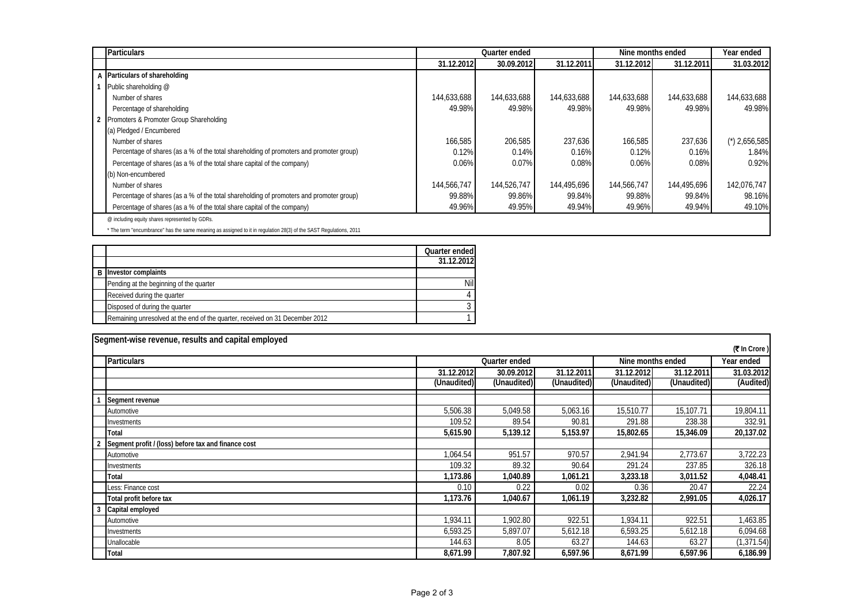| <b>Particulars</b>                                                                      |             | Quarter ended |             | Nine months ended |             | Year ended                    |
|-----------------------------------------------------------------------------------------|-------------|---------------|-------------|-------------------|-------------|-------------------------------|
|                                                                                         | 31.12.2012  | 30.09.2012    | 31.12.2011  | 31.12.2012        | 31.12.2011  | 31.03.2012                    |
| A Particulars of shareholding                                                           |             |               |             |                   |             |                               |
| Public shareholding @                                                                   |             |               |             |                   |             |                               |
| Number of shares                                                                        | 144,633,688 | 144,633,688   | 144,633,688 | 144,633,688       | 144,633,688 | 144,633,688                   |
| Percentage of shareholding                                                              | 49.98%      | 49.98%        | 49.98%      | 49.98%            | 49.98%      | 49.98%                        |
| Promoters & Promoter Group Shareholding                                                 |             |               |             |                   |             |                               |
| (a) Pledged / Encumbered                                                                |             |               |             |                   |             |                               |
| Number of shares                                                                        | 166,585     | 206,585       | 237,636     | 166,585           | 237,636     | $^{\prime\prime}$ ) 2,656,585 |
| Percentage of shares (as a % of the total shareholding of promoters and promoter group) | 0.12%       | 0.14%         | 0.16%       | 0.12%             | 0.16%       | 1.84%                         |
| Percentage of shares (as a % of the total share capital of the company)                 | 0.06%       | 0.07%         | 0.08%       | 0.06%             | 0.08%       | 0.92%                         |
| (b) Non-encumbered                                                                      |             |               |             |                   |             |                               |
| Number of shares                                                                        | 144,566,747 | 144.526.747   | 144,495,696 | 144,566,747       | 144.495.696 | 142.076.747                   |
| Percentage of shares (as a % of the total shareholding of promoters and promoter group) | 99.88%      | 99.86%        | 99.84%      | 99.88%            | 99.84%      | 98.16%                        |
| Percentage of shares (as a % of the total share capital of the company)                 | 49.96%      | 49.95%        | 49.94%      | 49.96%            | 49.94%      | 49.10%                        |
| @ including equity shares represented by GDRs.                                          |             |               |             |                   |             |                               |

\* The term "encumbrance" has the same meaning as assigned to it in regulation 28(3) of the SAST Regulations, 2011

|                                                                              | Quarter ended |
|------------------------------------------------------------------------------|---------------|
|                                                                              | 31.12.2012    |
| <b>B</b> Investor complaints                                                 |               |
| Pending at the beginning of the quarter                                      | Nill          |
| Received during the quarter                                                  |               |
| Disposed of during the quarter                                               |               |
| Remaining unresolved at the end of the quarter, received on 31 December 2012 |               |

|              | Segment-wise revenue, results and capital employed  |               |             |             |                   |             |             |  |  |
|--------------|-----------------------------------------------------|---------------|-------------|-------------|-------------------|-------------|-------------|--|--|
| (₹ In Crore) |                                                     |               |             |             |                   |             |             |  |  |
|              | <b>Particulars</b>                                  | Quarter ended |             |             | Nine months ended | Year ended  |             |  |  |
|              |                                                     | 31.12.2012    | 30.09.2012  | 31.12.2011  | 31.12.2012        | 31.12.2011  | 31.03.2012  |  |  |
|              |                                                     | (Unaudited)   | (Unaudited) | (Unaudited) | (Unaudited)       | (Unaudited) | (Audited)   |  |  |
|              | Segment revenue                                     |               |             |             |                   |             |             |  |  |
|              | Automotive                                          | 5,506.38      | 5,049.58    | 5,063.16    | 15,510.77         | 15,107.71   | 19,804.11   |  |  |
|              | Investments                                         | 109.52        | 89.54       | 90.81       | 291.88            | 238.38      | 332.91      |  |  |
|              | <b>Total</b>                                        | 5,615.90      | 5,139.12    | 5,153.97    | 15,802.65         | 15,346.09   | 20,137.02   |  |  |
|              | Segment profit / (loss) before tax and finance cost |               |             |             |                   |             |             |  |  |
|              | Automotive                                          | 1,064.54      | 951.57      | 970.57      | 2,941.94          | 2,773.67    | 3,722.23    |  |  |
|              | Investments                                         | 109.32        | 89.32       | 90.64       | 291.24            | 237.85      | 326.18      |  |  |
|              | <b>Total</b>                                        | 1,173.86      | 1,040.89    | 1,061.21    | 3,233.18          | 3,011.52    | 4,048.41    |  |  |
|              | Less: Finance cost                                  | 0.10          | 0.22        | 0.02        | 0.36              | 20.47       | 22.24       |  |  |
|              | Total profit before tax                             | 1,173.76      | 1,040.67    | 1,061.19    | 3,232.82          | 2,991.05    | 4,026.17    |  |  |
|              | Capital employed                                    |               |             |             |                   |             |             |  |  |
|              | Automotive                                          | 1,934.11      | 1,902.80    | 922.51      | 1,934.11          | 922.51      | 1,463.85    |  |  |
|              | Investments                                         | 6,593.25      | 5,897.07    | 5,612.18    | 6,593.25          | 5,612.18    | 6,094.68    |  |  |
|              | Unallocable                                         | 144.63        | 8.05        | 63.27       | 144.63            | 63.27       | (1, 371.54) |  |  |
|              | <b>Total</b>                                        | 8,671.99      | 7,807.92    | 6,597.96    | 8,671.99          | 6,597.96    | 6,186.99    |  |  |